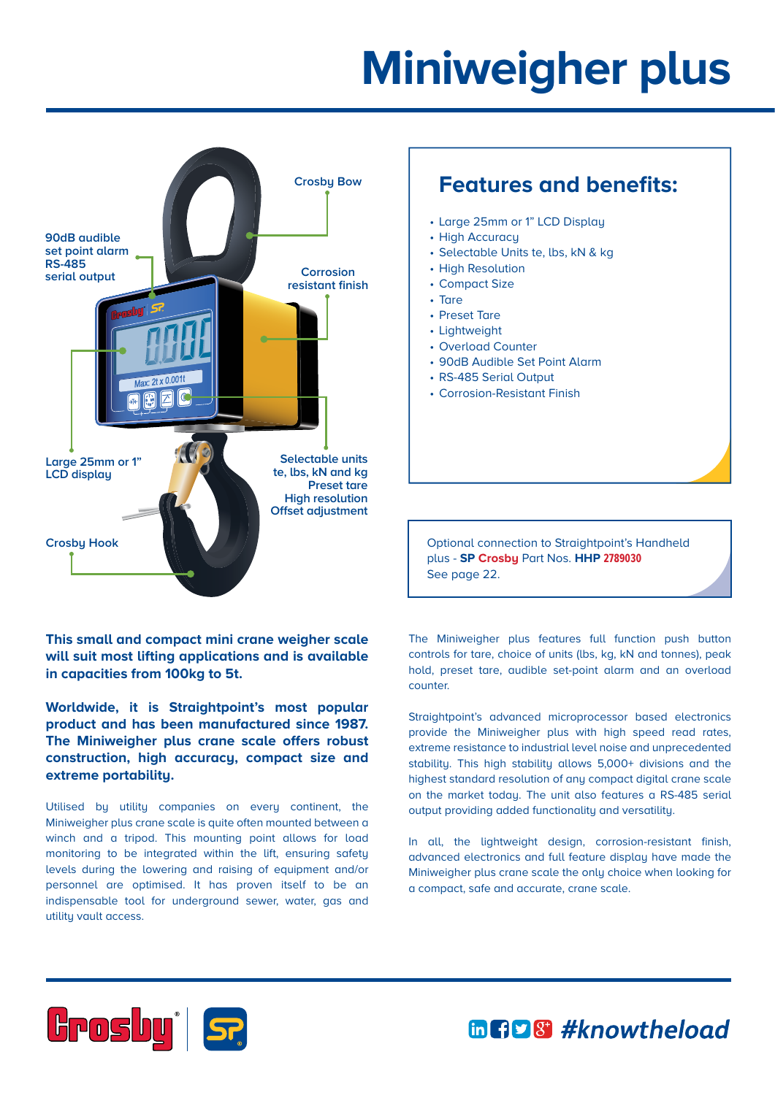## **Miniweigher plus**



**This small and compact mini crane weigher scale will suit most lifting applications and is available in capacities from 100kg to 5t.**

**Worldwide, it is Straightpoint's most popular product and has been manufactured since 1987. The Miniweigher plus crane scale offers robust construction, high accuracy, compact size and extreme portability.**

Utilised by utility companies on every continent, the Miniweigher plus crane scale is quite often mounted between a winch and a tripod. This mounting point allows for load monitoring to be integrated within the lift, ensuring safety levels during the lowering and raising of equipment and/or personnel are optimised. It has proven itself to be an indispensable tool for underground sewer, water, gas and utility vault access.

## **Features and benefits:**

- Large 25mm or 1" LCD Display
- High Accuracu
- Selectable Units te, lbs, kN & kg
- High Resolution
- Compact Size
- Tare
- Preset Tare
- Lightweight
- Overload Counter
- 90dB Audible Set Point Alarm
- RS-485 Serial Output
- Corrosion-Resistant Finish

Optional connection to Straightpoint's Handheld plus - **SP Crosby** Part Nos. **HHP 2789030** See page 22.

The Miniweigher plus features full function push button controls for tare, choice of units (lbs, kg, kN and tonnes), peak hold, preset tare, audible set-point alarm and an overload counter.

Straightpoint's advanced microprocessor based electronics provide the Miniweigher plus with high speed read rates, extreme resistance to industrial level noise and unprecedented stability. This high stability allows 5,000+ divisions and the highest standard resolution of any compact digital crane scale on the market today. The unit also features a RS-485 serial output providing added functionality and versatility.

In all, the lightweight design, corrosion-resistant finish, advanced electronics and full feature display have made the Miniweigher plus crane scale the only choice when looking for a compact, safe and accurate, crane scale.